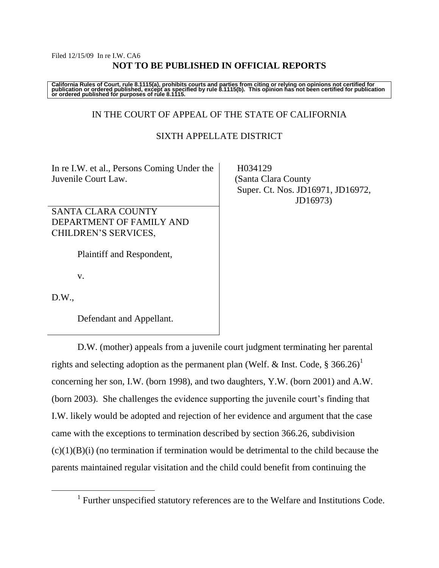#### Filed 12/15/09 In re I.W. CA6 **NOT TO BE PUBLISHED IN OFFICIAL REPORTS**

California Rules of Court, rule 8.1115(a), prohibits courts and parties from citing or relying on opinions not certified for<br>publication or ordered published, except as specified by rule 8.1115(b). This opinion has not be

## IN THE COURT OF APPEAL OF THE STATE OF CALIFORNIA

## SIXTH APPELLATE DISTRICT

In re I.W. et al., Persons Coming Under the Juvenile Court Law.

SANTA CLARA COUNTY DEPARTMENT OF FAMILY AND CHILDREN"S SERVICES,

Plaintiff and Respondent,

v.

 $D.W.$ 

 $\overline{a}$ 

Defendant and Appellant.

D.W. (mother) appeals from a juvenile court judgment terminating her parental rights and selecting adoption as the permanent plan (Welf. & Inst. Code,  $\S 366.26$ )<sup>1</sup> concerning her son, I.W. (born 1998), and two daughters, Y.W. (born 2001) and A.W. (born 2003). She challenges the evidence supporting the juvenile court's finding that I.W. likely would be adopted and rejection of her evidence and argument that the case came with the exceptions to termination described by section 366.26, subdivision  $(c)(1)(B)(i)$  (no termination if termination would be detrimental to the child because the parents maintained regular visitation and the child could benefit from continuing the

 H034129 (Santa Clara County Super. Ct. Nos. JD16971, JD16972, JD16973)

<sup>&</sup>lt;sup>1</sup> Further unspecified statutory references are to the Welfare and Institutions Code.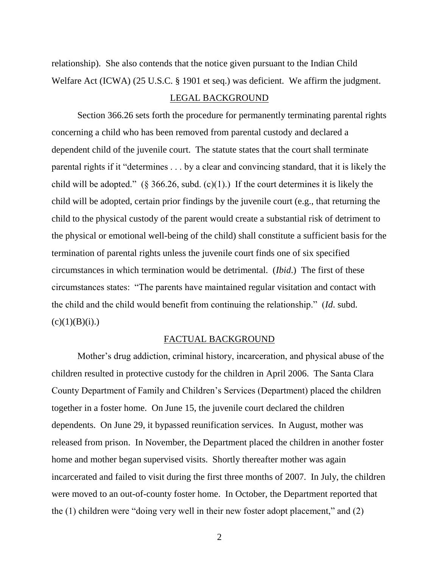relationship). She also contends that the notice given pursuant to the Indian Child Welfare Act (ICWA) (25 U.S.C. § 1901 et seq.) was deficient. We affirm the judgment.

#### LEGAL BACKGROUND

Section 366.26 sets forth the procedure for permanently terminating parental rights concerning a child who has been removed from parental custody and declared a dependent child of the juvenile court. The statute states that the court shall terminate parental rights if it "determines . . . by a clear and convincing standard, that it is likely the child will be adopted." (§ 366.26, subd. (c)(1).) If the court determines it is likely the child will be adopted, certain prior findings by the juvenile court (e.g., that returning the child to the physical custody of the parent would create a substantial risk of detriment to the physical or emotional well-being of the child) shall constitute a sufficient basis for the termination of parental rights unless the juvenile court finds one of six specified circumstances in which termination would be detrimental. (*Ibid*.) The first of these circumstances states: "The parents have maintained regular visitation and contact with the child and the child would benefit from continuing the relationship." (*Id*. subd.  $(c)(1)(B)(i)$ .)

## FACTUAL BACKGROUND

Mother's drug addiction, criminal history, incarceration, and physical abuse of the children resulted in protective custody for the children in April 2006. The Santa Clara County Department of Family and Children"s Services (Department) placed the children together in a foster home. On June 15, the juvenile court declared the children dependents. On June 29, it bypassed reunification services. In August, mother was released from prison. In November, the Department placed the children in another foster home and mother began supervised visits. Shortly thereafter mother was again incarcerated and failed to visit during the first three months of 2007. In July, the children were moved to an out-of-county foster home. In October, the Department reported that the (1) children were "doing very well in their new foster adopt placement," and (2)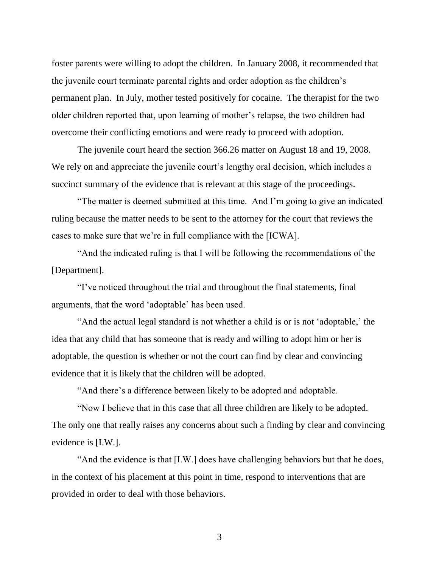foster parents were willing to adopt the children. In January 2008, it recommended that the juvenile court terminate parental rights and order adoption as the children"s permanent plan. In July, mother tested positively for cocaine. The therapist for the two older children reported that, upon learning of mother"s relapse, the two children had overcome their conflicting emotions and were ready to proceed with adoption.

The juvenile court heard the section 366.26 matter on August 18 and 19, 2008. We rely on and appreciate the juvenile court's lengthy oral decision, which includes a succinct summary of the evidence that is relevant at this stage of the proceedings.

"The matter is deemed submitted at this time. And I"m going to give an indicated ruling because the matter needs to be sent to the attorney for the court that reviews the cases to make sure that we"re in full compliance with the [ICWA].

"And the indicated ruling is that I will be following the recommendations of the [Department].

"I"ve noticed throughout the trial and throughout the final statements, final arguments, that the word "adoptable" has been used.

"And the actual legal standard is not whether a child is or is not "adoptable," the idea that any child that has someone that is ready and willing to adopt him or her is adoptable, the question is whether or not the court can find by clear and convincing evidence that it is likely that the children will be adopted.

"And there"s a difference between likely to be adopted and adoptable.

"Now I believe that in this case that all three children are likely to be adopted. The only one that really raises any concerns about such a finding by clear and convincing evidence is [I.W.].

"And the evidence is that [I.W.] does have challenging behaviors but that he does, in the context of his placement at this point in time, respond to interventions that are provided in order to deal with those behaviors.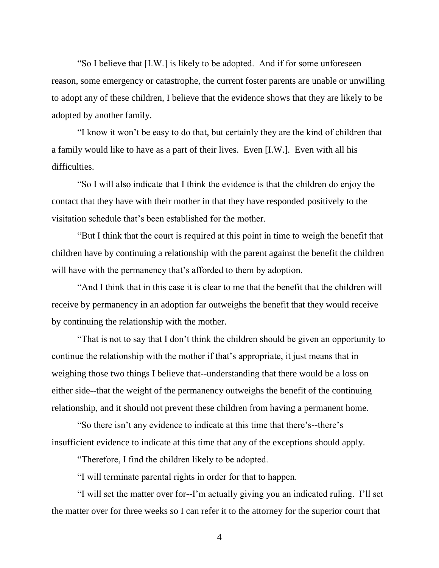"So I believe that [I.W.] is likely to be adopted. And if for some unforeseen reason, some emergency or catastrophe, the current foster parents are unable or unwilling to adopt any of these children, I believe that the evidence shows that they are likely to be adopted by another family.

"I know it won"t be easy to do that, but certainly they are the kind of children that a family would like to have as a part of their lives. Even [I.W.]. Even with all his difficulties.

"So I will also indicate that I think the evidence is that the children do enjoy the contact that they have with their mother in that they have responded positively to the visitation schedule that"s been established for the mother.

"But I think that the court is required at this point in time to weigh the benefit that children have by continuing a relationship with the parent against the benefit the children will have with the permanency that's afforded to them by adoption.

"And I think that in this case it is clear to me that the benefit that the children will receive by permanency in an adoption far outweighs the benefit that they would receive by continuing the relationship with the mother.

"That is not to say that I don"t think the children should be given an opportunity to continue the relationship with the mother if that's appropriate, it just means that in weighing those two things I believe that--understanding that there would be a loss on either side--that the weight of the permanency outweighs the benefit of the continuing relationship, and it should not prevent these children from having a permanent home.

"So there isn"t any evidence to indicate at this time that there"s--there"s insufficient evidence to indicate at this time that any of the exceptions should apply.

"Therefore, I find the children likely to be adopted.

"I will terminate parental rights in order for that to happen.

"I will set the matter over for--I"m actually giving you an indicated ruling. I"ll set the matter over for three weeks so I can refer it to the attorney for the superior court that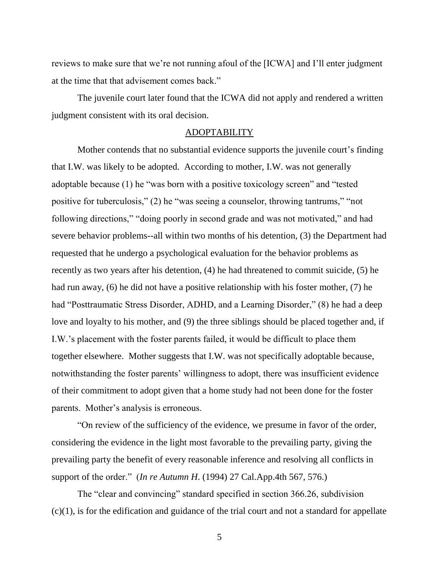reviews to make sure that we"re not running afoul of the [ICWA] and I"ll enter judgment at the time that that advisement comes back."

The juvenile court later found that the ICWA did not apply and rendered a written judgment consistent with its oral decision.

#### ADOPTABILITY

Mother contends that no substantial evidence supports the juvenile court's finding that I.W. was likely to be adopted. According to mother, I.W. was not generally adoptable because (1) he "was born with a positive toxicology screen" and "tested positive for tuberculosis," (2) he "was seeing a counselor, throwing tantrums," "not following directions," "doing poorly in second grade and was not motivated," and had severe behavior problems--all within two months of his detention, (3) the Department had requested that he undergo a psychological evaluation for the behavior problems as recently as two years after his detention, (4) he had threatened to commit suicide, (5) he had run away, (6) he did not have a positive relationship with his foster mother, (7) he had "Posttraumatic Stress Disorder, ADHD, and a Learning Disorder," (8) he had a deep love and loyalty to his mother, and (9) the three siblings should be placed together and, if I.W."s placement with the foster parents failed, it would be difficult to place them together elsewhere. Mother suggests that I.W. was not specifically adoptable because, notwithstanding the foster parents' willingness to adopt, there was insufficient evidence of their commitment to adopt given that a home study had not been done for the foster parents. Mother"s analysis is erroneous.

"On review of the sufficiency of the evidence, we presume in favor of the order, considering the evidence in the light most favorable to the prevailing party, giving the prevailing party the benefit of every reasonable inference and resolving all conflicts in support of the order." (*In re Autumn H*. (1994) 27 Cal.App.4th 567, 576.)

The "clear and convincing" standard specified in section 366.26, subdivision  $(c)(1)$ , is for the edification and guidance of the trial court and not a standard for appellate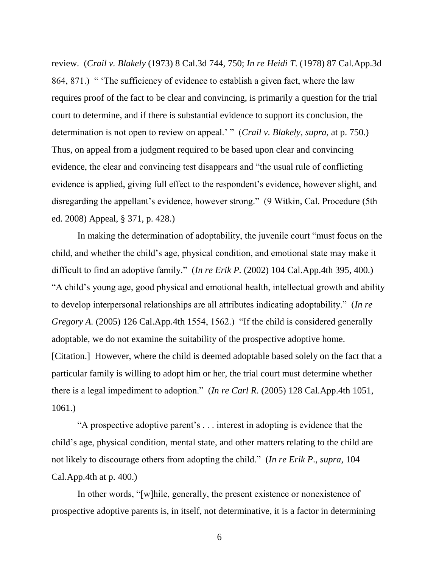review. (*Crail v. Blakely* (1973) 8 Cal.3d 744, 750; *In re Heidi T*. (1978) 87 Cal.App.3d 864, 871.) " The sufficiency of evidence to establish a given fact, where the law requires proof of the fact to be clear and convincing, is primarily a question for the trial court to determine, and if there is substantial evidence to support its conclusion, the determination is not open to review on appeal." " (*Crail v. Blakely*, *supra*, at p. 750.) Thus, on appeal from a judgment required to be based upon clear and convincing evidence, the clear and convincing test disappears and "the usual rule of conflicting evidence is applied, giving full effect to the respondent's evidence, however slight, and disregarding the appellant's evidence, however strong." (9 Witkin, Cal. Procedure (5th) ed. 2008) Appeal, § 371, p. 428.)

In making the determination of adoptability, the juvenile court "must focus on the child, and whether the child"s age, physical condition, and emotional state may make it difficult to find an adoptive family." (*In re Erik P.* (2002) 104 Cal.App.4th 395, 400.) "A child"s young age, good physical and emotional health, intellectual growth and ability to develop interpersonal relationships are all attributes indicating adoptability." (*In re Gregory A.* (2005) 126 Cal.App.4th 1554, 1562.) "If the child is considered generally adoptable, we do not examine the suitability of the prospective adoptive home. [Citation.] However, where the child is deemed adoptable based solely on the fact that a particular family is willing to adopt him or her, the trial court must determine whether there is a legal impediment to adoption." (*In re Carl R*. (2005) 128 Cal.App.4th 1051, 1061.)

"A prospective adoptive parent"s . . . interest in adopting is evidence that the child"s age, physical condition, mental state, and other matters relating to the child are not likely to discourage others from adopting the child." (*In re Erik P*., *supra*, 104 Cal.App.4th at p. 400.)

In other words, "[w]hile, generally, the present existence or nonexistence of prospective adoptive parents is, in itself, not determinative, it is a factor in determining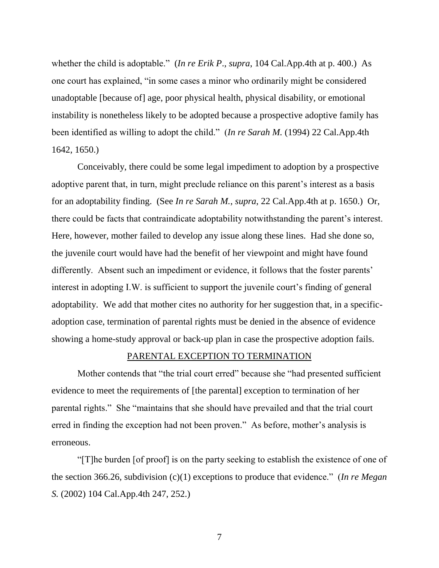whether the child is adoptable." (*In re Erik P*., *supra*, 104 Cal.App.4th at p. 400.) As one court has explained, "in some cases a minor who ordinarily might be considered unadoptable [because of] age, poor physical health, physical disability, or emotional instability is nonetheless likely to be adopted because a prospective adoptive family has been identified as willing to adopt the child." (*In re Sarah M.* (1994) 22 Cal.App.4th 1642, 1650.)

Conceivably, there could be some legal impediment to adoption by a prospective adoptive parent that, in turn, might preclude reliance on this parent's interest as a basis for an adoptability finding. (See *In re Sarah M.*, *supra*, 22 Cal.App.4th at p. 1650.) Or, there could be facts that contraindicate adoptability notwithstanding the parent"s interest. Here, however, mother failed to develop any issue along these lines. Had she done so, the juvenile court would have had the benefit of her viewpoint and might have found differently. Absent such an impediment or evidence, it follows that the foster parents' interest in adopting I.W. is sufficient to support the juvenile court's finding of general adoptability. We add that mother cites no authority for her suggestion that, in a specificadoption case, termination of parental rights must be denied in the absence of evidence showing a home-study approval or back-up plan in case the prospective adoption fails.

#### PARENTAL EXCEPTION TO TERMINATION

Mother contends that "the trial court erred" because she "had presented sufficient evidence to meet the requirements of [the parental] exception to termination of her parental rights." She "maintains that she should have prevailed and that the trial court erred in finding the exception had not been proven." As before, mother's analysis is erroneous.

"[T]he burden [of proof] is on the party seeking to establish the existence of one of the section 366.26, subdivision (c)(1) exceptions to produce that evidence." (*In re Megan S.* (2002) 104 Cal.App.4th 247, 252.)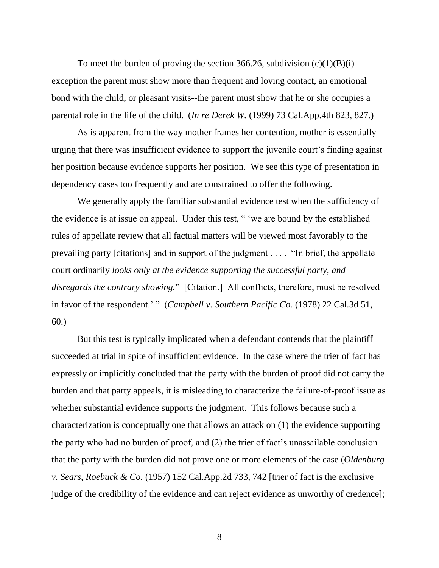To meet the burden of proving the section 366.26, subdivision  $(c)(1)(B)(i)$ exception the parent must show more than frequent and loving contact, an emotional bond with the child, or pleasant visits--the parent must show that he or she occupies a parental role in the life of the child. (*In re Derek W.* (1999) 73 Cal.App.4th 823, 827.)

As is apparent from the way mother frames her contention, mother is essentially urging that there was insufficient evidence to support the juvenile court"s finding against her position because evidence supports her position. We see this type of presentation in dependency cases too frequently and are constrained to offer the following.

We generally apply the familiar substantial evidence test when the sufficiency of the evidence is at issue on appeal. Under this test, " "we are bound by the established rules of appellate review that all factual matters will be viewed most favorably to the prevailing party [citations] and in support of the judgment . . . . "In brief, the appellate court ordinarily *looks only at the evidence supporting the successful party*, *and disregards the contrary showing.*" [Citation.] All conflicts, therefore, must be resolved in favor of the respondent." " (*Campbell v. Southern Pacific Co.* (1978) 22 Cal.3d 51, 60.)

But this test is typically implicated when a defendant contends that the plaintiff succeeded at trial in spite of insufficient evidence. In the case where the trier of fact has expressly or implicitly concluded that the party with the burden of proof did not carry the burden and that party appeals, it is misleading to characterize the failure-of-proof issue as whether substantial evidence supports the judgment. This follows because such a characterization is conceptually one that allows an attack on (1) the evidence supporting the party who had no burden of proof, and (2) the trier of fact"s unassailable conclusion that the party with the burden did not prove one or more elements of the case (*Oldenburg v. Sears*, *Roebuck & Co.* (1957) 152 Cal.App.2d 733, 742 [trier of fact is the exclusive judge of the credibility of the evidence and can reject evidence as unworthy of credence];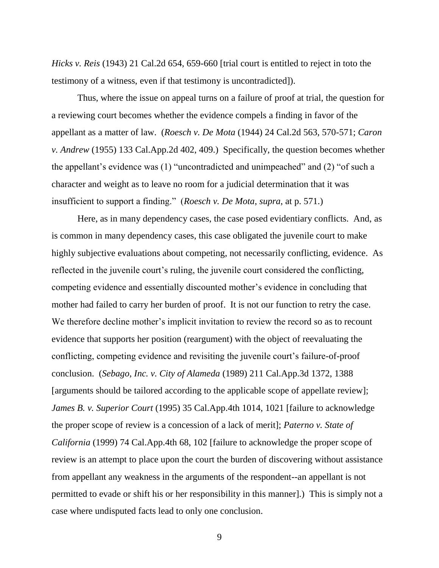*Hicks v. Reis* (1943) 21 Cal.2d 654, 659-660 [trial court is entitled to reject in toto the testimony of a witness, even if that testimony is uncontradicted]).

Thus, where the issue on appeal turns on a failure of proof at trial, the question for a reviewing court becomes whether the evidence compels a finding in favor of the appellant as a matter of law. (*Roesch v. De Mota* (1944) 24 Cal.2d 563, 570-571; *Caron v. Andrew* (1955) 133 Cal.App.2d 402, 409.) Specifically, the question becomes whether the appellant"s evidence was (1) "uncontradicted and unimpeached" and (2) "of such a character and weight as to leave no room for a judicial determination that it was insufficient to support a finding." (*Roesch v. De Mota*, *supra*, at p. 571.)

Here, as in many dependency cases, the case posed evidentiary conflicts. And, as is common in many dependency cases, this case obligated the juvenile court to make highly subjective evaluations about competing, not necessarily conflicting, evidence. As reflected in the juvenile court's ruling, the juvenile court considered the conflicting, competing evidence and essentially discounted mother"s evidence in concluding that mother had failed to carry her burden of proof. It is not our function to retry the case. We therefore decline mother's implicit invitation to review the record so as to recount evidence that supports her position (reargument) with the object of reevaluating the conflicting, competing evidence and revisiting the juvenile court's failure-of-proof conclusion. (*Sebago*, *Inc. v. City of Alameda* (1989) 211 Cal.App.3d 1372, 1388 [arguments should be tailored according to the applicable scope of appellate review]; *James B. v. Superior Court* (1995) 35 Cal.App.4th 1014, 1021 [failure to acknowledge the proper scope of review is a concession of a lack of merit]; *Paterno v. State of California* (1999) 74 Cal.App.4th 68, 102 [failure to acknowledge the proper scope of review is an attempt to place upon the court the burden of discovering without assistance from appellant any weakness in the arguments of the respondent--an appellant is not permitted to evade or shift his or her responsibility in this manner].) This is simply not a case where undisputed facts lead to only one conclusion.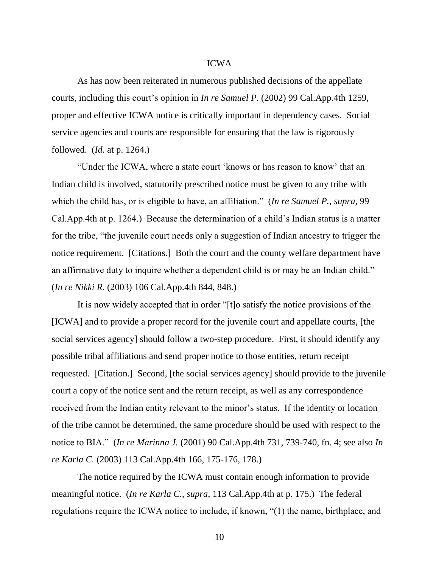### ICWA

As has now been reiterated in numerous published decisions of the appellate courts, including this court"s opinion in *In re Samuel P.* (2002) 99 Cal.App.4th 1259, proper and effective ICWA notice is critically important in dependency cases. Social service agencies and courts are responsible for ensuring that the law is rigorously followed. (*Id.* at p. 1264.)

"Under the ICWA, where a state court "knows or has reason to know" that an Indian child is involved, statutorily prescribed notice must be given to any tribe with which the child has, or is eligible to have, an affiliation." (*In re Samuel P.*, *supra*, 99 Cal.App.4th at p. 1264.) Because the determination of a child"s Indian status is a matter for the tribe, "the juvenile court needs only a suggestion of Indian ancestry to trigger the notice requirement. [Citations.] Both the court and the county welfare department have an affirmative duty to inquire whether a dependent child is or may be an Indian child." (*In re Nikki R.* (2003) 106 Cal.App.4th 844, 848.)

It is now widely accepted that in order "[t]o satisfy the notice provisions of the [ICWA] and to provide a proper record for the juvenile court and appellate courts, [the social services agency] should follow a two-step procedure. First, it should identify any possible tribal affiliations and send proper notice to those entities, return receipt requested. [Citation.] Second, [the social services agency] should provide to the juvenile court a copy of the notice sent and the return receipt, as well as any correspondence received from the Indian entity relevant to the minor's status. If the identity or location of the tribe cannot be determined, the same procedure should be used with respect to the notice to BIA." (*In re Marinna J.* (2001) 90 Cal.App.4th 731, 739-740, fn. 4; see also *In re Karla C.* (2003) 113 Cal.App.4th 166, 175-176, 178.)

The notice required by the ICWA must contain enough information to provide meaningful notice. (*In re Karla C.*, *supra*, 113 Cal.App.4th at p. 175.) The federal regulations require the ICWA notice to include, if known, "(1) the name, birthplace, and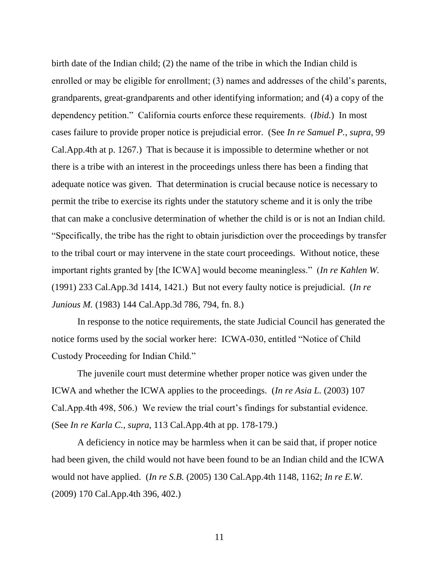birth date of the Indian child; (2) the name of the tribe in which the Indian child is enrolled or may be eligible for enrollment; (3) names and addresses of the child's parents, grandparents, great-grandparents and other identifying information; and (4) a copy of the dependency petition." California courts enforce these requirements. (*Ibid.*) In most cases failure to provide proper notice is prejudicial error. (See *In re Samuel P.*, *supra*, 99 Cal.App.4th at p. 1267.) That is because it is impossible to determine whether or not there is a tribe with an interest in the proceedings unless there has been a finding that adequate notice was given. That determination is crucial because notice is necessary to permit the tribe to exercise its rights under the statutory scheme and it is only the tribe that can make a conclusive determination of whether the child is or is not an Indian child. "Specifically, the tribe has the right to obtain jurisdiction over the proceedings by transfer to the tribal court or may intervene in the state court proceedings. Without notice, these important rights granted by [the ICWA] would become meaningless." (*In re Kahlen W.* (1991) 233 Cal.App.3d 1414, 1421.) But not every faulty notice is prejudicial. (*In re Junious M.* (1983) 144 Cal.App.3d 786, 794, fn. 8.)

In response to the notice requirements, the state Judicial Council has generated the notice forms used by the social worker here: ICWA-030, entitled "Notice of Child Custody Proceeding for Indian Child."

The juvenile court must determine whether proper notice was given under the ICWA and whether the ICWA applies to the proceedings. (*In re Asia L.* (2003) 107 Cal.App.4th 498, 506.) We review the trial court's findings for substantial evidence. (See *In re Karla C.*, *supra*, 113 Cal.App.4th at pp. 178-179.)

A deficiency in notice may be harmless when it can be said that, if proper notice had been given, the child would not have been found to be an Indian child and the ICWA would not have applied. (*In re S.B.* (2005) 130 Cal.App.4th 1148, 1162; *In re E.W.* (2009) 170 Cal.App.4th 396, 402.)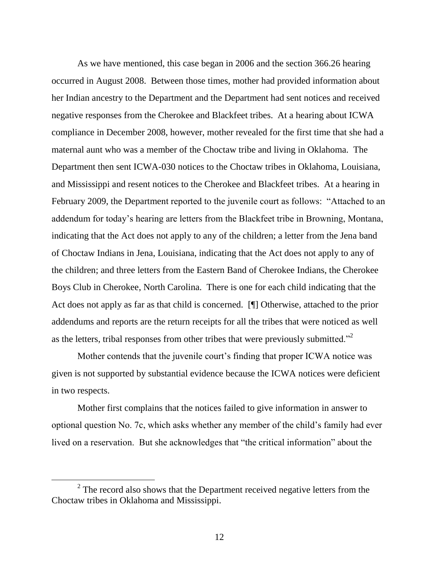As we have mentioned, this case began in 2006 and the section 366.26 hearing occurred in August 2008. Between those times, mother had provided information about her Indian ancestry to the Department and the Department had sent notices and received negative responses from the Cherokee and Blackfeet tribes. At a hearing about ICWA compliance in December 2008, however, mother revealed for the first time that she had a maternal aunt who was a member of the Choctaw tribe and living in Oklahoma. The Department then sent ICWA-030 notices to the Choctaw tribes in Oklahoma, Louisiana, and Mississippi and resent notices to the Cherokee and Blackfeet tribes. At a hearing in February 2009, the Department reported to the juvenile court as follows: "Attached to an addendum for today"s hearing are letters from the Blackfeet tribe in Browning, Montana, indicating that the Act does not apply to any of the children; a letter from the Jena band of Choctaw Indians in Jena, Louisiana, indicating that the Act does not apply to any of the children; and three letters from the Eastern Band of Cherokee Indians, the Cherokee Boys Club in Cherokee, North Carolina. There is one for each child indicating that the Act does not apply as far as that child is concerned. [¶] Otherwise, attached to the prior addendums and reports are the return receipts for all the tribes that were noticed as well as the letters, tribal responses from other tribes that were previously submitted."<sup>2</sup>

Mother contends that the juvenile court's finding that proper ICWA notice was given is not supported by substantial evidence because the ICWA notices were deficient in two respects.

Mother first complains that the notices failed to give information in answer to optional question No. 7c, which asks whether any member of the child"s family had ever lived on a reservation. But she acknowledges that "the critical information" about the

 $2<sup>2</sup>$  The record also shows that the Department received negative letters from the Choctaw tribes in Oklahoma and Mississippi.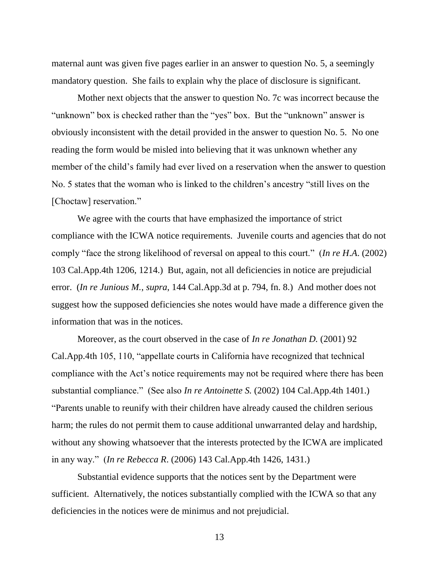maternal aunt was given five pages earlier in an answer to question No. 5, a seemingly mandatory question. She fails to explain why the place of disclosure is significant.

Mother next objects that the answer to question No. 7c was incorrect because the "unknown" box is checked rather than the "yes" box. But the "unknown" answer is obviously inconsistent with the detail provided in the answer to question No. 5. No one reading the form would be misled into believing that it was unknown whether any member of the child's family had ever lived on a reservation when the answer to question No. 5 states that the woman who is linked to the children"s ancestry "still lives on the [Choctaw] reservation."

We agree with the courts that have emphasized the importance of strict compliance with the ICWA notice requirements. Juvenile courts and agencies that do not comply "face the strong likelihood of reversal on appeal to this court." (*In re H*.*A*. (2002) 103 Cal.App.4th 1206, 1214.) But, again, not all deficiencies in notice are prejudicial error. (*In re Junious M.*, *supra*, 144 Cal.App.3d at p. 794, fn. 8.) And mother does not suggest how the supposed deficiencies she notes would have made a difference given the information that was in the notices.

Moreover, as the court observed in the case of *In re Jonathan D.* (2001) 92 Cal.App.4th 105, 110, "appellate courts in California have recognized that technical compliance with the Act"s notice requirements may not be required where there has been substantial compliance." (See also *In re Antoinette S.* (2002) 104 Cal.App.4th 1401.) "Parents unable to reunify with their children have already caused the children serious harm; the rules do not permit them to cause additional unwarranted delay and hardship, without any showing whatsoever that the interests protected by the ICWA are implicated in any way." (*In re Rebecca R*. (2006) 143 Cal.App.4th 1426, 1431.)

Substantial evidence supports that the notices sent by the Department were sufficient. Alternatively, the notices substantially complied with the ICWA so that any deficiencies in the notices were de minimus and not prejudicial.